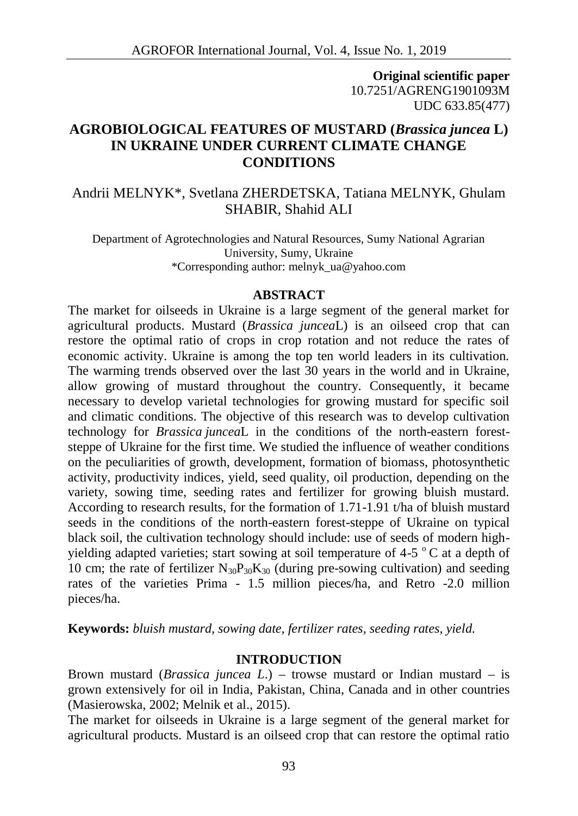**Original scientific paper** 10.7251/AGRENG1901093M UDC 633.85(477)

# **AGROBIOLOGICAL FEATURES OF MUSTARD (***Brassica juncea* **L) IN UKRAINE UNDER CURRENT CLIMATE CHANGE CONDITIONS**

## Andrii MELNYK\*, Svetlana ZHERDETSKA, Tatiana MELNYK, Ghulam SHABIR, Shahid ALI

Department of Agrotechnologies and Natural Resources, Sumy National Agrarian University, Sumy, Ukraine \*Corresponding author: melnyk\_ua@yahoo.com

#### **ABSTRACT**

The market for oilseeds in Ukraine is a large segment of the general market for agricultural products. Mustard (*Brassica juncea*L) is an oilseed crop that can restore the optimal ratio of crops in crop rotation and not reduce the rates of economic activity. Ukraine is among the top ten world leaders in its cultivation. The warming trends observed over the last 30 years in the world and in Ukraine, allow growing of mustard throughout the country. Consequently, it became necessary to develop varietal technologies for growing mustard for specific soil and climatic conditions. The objective of this research was to develop cultivation technology for *Brassica juncea*L in the conditions of the north-eastern forest steppe of Ukraine for the first time. We studied the influence of weather conditions on the peculiarities of growth, development, formation of biomass, photosynthetic activity, productivity indices, yield, seed quality, oil production, depending on the variety, sowing time, seeding rates and fertilizer for growing bluish mustard. According to research results, for the formation of 1.71-1.91 t/ha of bluish mustard seeds in the conditions of the north-eastern forest-steppe of Ukraine on typical black soil, the cultivation technology should include: use of seeds of modern high yielding adapted varieties; start sowing at soil temperature of 4-5  $\degree$ C at a depth of 10 cm; the rate of fertilizer  $N_{30}P_{30}K_{30}$  (during pre-sowing cultivation) and seeding rates of the varieties Prima - 1.5 million pieces/ha, and Retro -2.0 million pieces/ha.

**Keywords:** *bluish mustard, sowing date, fertilizer rates, seeding rates, yield.*

### **INTRODUCTION**

Brown mustard (*Brassica juncea L*.) – trowse mustard or Indian mustard – is grown extensively for oil in India, Pakistan, China, Canada and in other countries (Masierowska, 2002; Melnik et al., 2015).

The market for oilseeds in Ukraine is a large segment of the general market for agricultural products. Mustard is an oilseed crop that can restore the optimal ratio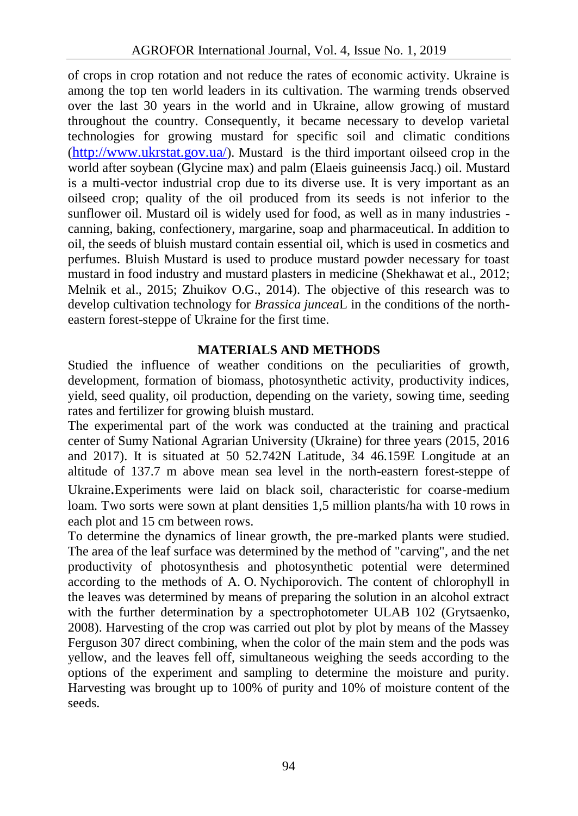of crops in crop rotation and not reduce the rates of economic activity. Ukraine is among the top ten world leaders in its cultivation. The warming trends observed over the last 30 years in the world and in Ukraine, allow growing of mustard throughout the country. Consequently, it became necessary to develop varietal technologies for growing mustard for specific soil and climatic conditions (http://www.ukrstat.gov.ua/). Mustard is the third important oilseed crop in the world after soybean (Glycine max) and palm (Elaeis guineensis Jacq.) oil. Mustard is a multi-vector industrial crop due to its diverse use. It is very important as an oilseed crop; quality of the oil produced from its seeds is not inferior to the sunflower oil. Mustard oil is widely used for food, as well as in many industries canning, baking, confectionery, margarine, soap and pharmaceutical. In addition to oil, the seeds of bluish mustard contain essential oil, which is used in cosmetics and perfumes. Bluish Mustard is used to produce mustard powder necessary for toast mustard in food industry and mustard plasters in medicine (Shekhawat et al., 2012; Melnik et al., 2015; Zhuikov O.G., 2014). The objective of this research was to develop cultivation technology for *Brassica juncea*L in the conditions of the north eastern forest-steppe of Ukraine for the first time.

## **MATERIALS AND METHODS**

Studied the influence of weather conditions on the peculiarities of growth, development, formation of biomass, photosynthetic activity, productivity indices, yield, seed quality, oil production, depending on the variety, sowing time, seeding rates and fertilizer for growing bluish mustard.

The experimental part of the work was conducted at the training and practical center of Sumy National Agrarian University (Ukraine) for three years (2015, 2016 and 2017). It is situated at 50 52.742N Latitude, 34 46.159E Longitude at an altitude of 137.7 m above mean sea level in the north-eastern forest-steppe of Ukraine.Experiments were laid on black soil, characteristic for coarse-medium loam. Two sorts were sown at plant densities 1,5 million plants/ha with 10 rows in each plot and 15 cm between rows.

To determine the dynamics of linear growth, the pre-marked plants were studied. The area of the leaf surface was determined by the method of "carving", and the net productivity of photosynthesis and photosynthetic potential were determined according to the methods of A. O. Nychiporovich. The content of chlorophyll in the leaves was determined by means of preparing the solution in an alcohol extract with the further determination by a spectrophotometer ULAB 102 (Grytsaenko, 2008). Harvesting of the crop was carried out plot by plot by means of the Massey Ferguson 307 direct combining, when the color of the main stem and the pods was yellow, and the leaves fell off, simultaneous weighing the seeds according to the options of the experiment and sampling to determine the moisture and purity. Harvesting was brought up to 100% of purity and 10% of moisture content of the seeds.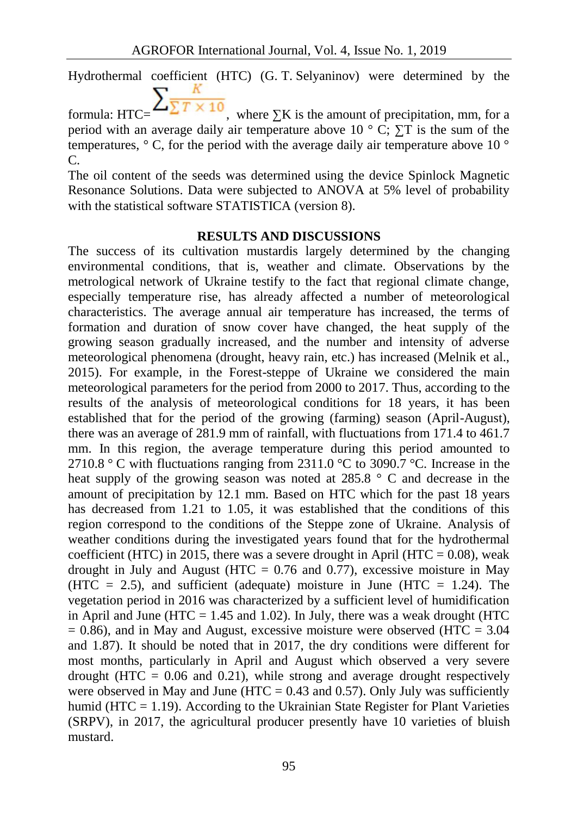Hydrothermal coefficient (HTC) (G. T. Selyaninov) were determined by the formula: HTC=  $\sum_{\text{max}} \frac{R}{\sum T \times 10}$ , where K is the amount of precipitation, mm, for a

period with an average daily air temperature above  $10^\circ$ . T is the sum of the temperatures,  $\degree$ , for the period with the average daily air temperature above 10  $\degree$ 

The oil content of the seeds was determined using the device Spinlock Magnetic Resonance Solutions. Data were subjected to ANOVA at 5% level of probability with the statistical software STATISTICA (version 8).

С.

### **RESULTS AND DISCUSSIONS**

The success of its cultivation mustardis largely determined by the changing environmental conditions, that is, weather and climate. Observations by the metrological network of Ukraine testify to the fact that regional climate change, especially temperature rise, has already affected a number of meteorological characteristics. The average annual air temperature has increased, the terms of formation and duration of snow cover have changed, the heat supply of the growing season gradually increased, and the number and intensity of adverse meteorological phenomena (drought, heavy rain, etc.) has increased (Melnik et al., 2015). For example, in the Forest-steppe of Ukraine we considered the main meteorological parameters for the period from 2000 to 2017. Thus, according to the results of the analysis of meteorological conditions for 18 years, it has been established that for the period of the growing (farming) season (April-August), there was an average of 281.9 mm of rainfall, with fluctuations from 171.4 to 461.7 mm. In this region, the average temperature during this period amounted to 2710.8 ° C with fluctuations ranging from 2311.0 °C to 3090.7 °C. Increase in the heat supply of the growing season was noted at 285.8 ° and decrease in the amount of precipitation by 12.1 mm. Based on HTC which for the past 18 years has decreased from 1.21 to 1.05, it was established that the conditions of this region correspond to the conditions of the Steppe zone of Ukraine. Analysis of weather conditions during the investigated years found that for the hydrothermal coefficient (HTC) in 2015, there was a severe drought in April (HTC =  $0.08$ ), weak drought in July and August (HTC  $= 0.76$  and 0.77), excessive moisture in May (HTC = 2.5), and sufficient (adequate) moisture in June (HTC = 1.24). The vegetation period in 2016 was characterized by a sufficient level of humidification in April and June (HTC  $= 1.45$  and 1.02). In July, there was a weak drought (HTC  $= 0.86$ ), and in May and August, excessive moisture were observed (HTC  $= 3.04$ ) and 1.87). It should be noted that in 2017, the dry conditions were different for most months, particularly in April and August which observed a very severe drought (HTC  $= 0.06$  and 0.21), while strong and average drought respectively were observed in May and June (HTC =  $0.43$  and  $0.57$ ). Only July was sufficiently humid ( $HTC = 1.19$ ). According to the Ukrainian State Register for Plant Varieties (SRPV), in 2017, the agricultural producer presently have 10 varieties of bluish mustard.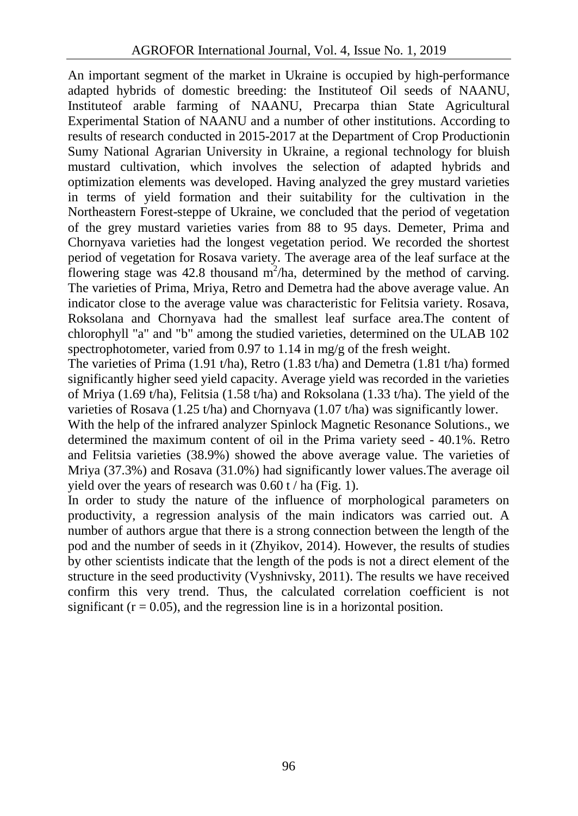An important segment of the market in Ukraine is occupied by high-performance adapted hybrids of domestic breeding: the Instituteof Oil seeds of NAANU, Instituteof arable farming of NAANU, Precarpa thian State Agricultural Experimental Station of NAANU and a number of other institutions. According to results of research conducted in 2015-2017 at the Department of Crop Productionin Sumy National Agrarian University in Ukraine, a regional technology for bluish mustard cultivation, which involves the selection of adapted hybrids and optimization elements was developed. Having analyzed the grey mustard varieties in terms of yield formation and their suitability for the cultivation in the Northeastern Forest-steppe of Ukraine, we concluded that the period of vegetation of the grey mustard varieties varies from 88 to 95 days. Demeter, Prima and Chornyava varieties had the longest vegetation period. We recorded the shortest period of vegetation for Rosava variety. The average area of the leaf surface at the flowering stage was 42.8 thousand  $m^2/ha$ , determined by the method of carving. The varieties of Prima, Mriya, Retro and Demetra had the above average value. An indicator close to the average value was characteristic for Felitsia variety. Rosava, Roksolana and Chornyava had the smallest leaf surface area.The content of chlorophyll " " and "b" among the studied varieties, determined on the ULAB 102 spectrophotometer, varied from 0.97 to 1.14 in mg/g of the fresh weight.

The varieties of Prima  $(1.91 \text{ t/ha})$ , Retro  $(1.83 \text{ t/ha})$  and Demetra  $(1.81 \text{ t/ha})$  formed significantly higher seed yield capacity. Average yield was recorded in the varieties of Mriya (1.69 t/ha), Felitsia (1.58 t/ha) and Roksolana (1.33 t/ha). The yield of the varieties of Rosava (1.25 t/ha) and Chornyava (1.07 t/ha) was significantly lower.

With the help of the infrared analyzer Spinlock Magnetic Resonance Solutions., we determined the maximum content of oil in the Prima variety seed - 40.1%. Retro and Felitsia varieties (38.9%) showed the above average value. The varieties of Mriya (37.3%) and Rosava (31.0%) had significantly lower values.The average oil yield over the years of research was  $0.60$  t / ha (Fig. 1).

In order to study the nature of the influence of morphological parameters on productivity, a regression analysis of the main indicators was carried out. A number of authors argue that there is a strong connection between the length of the pod and the number of seeds in it (Zhyikov, 2014). However, the results of studies by other scientists indicate that the length of the pods is not a direct element of the structure in the seed productivity (Vyshnivsky, 2011). The results we have received confirm this very trend. Thus, the calculated correlation coefficient is not significant  $(r = 0.05)$ , and the regression line is in a horizontal position.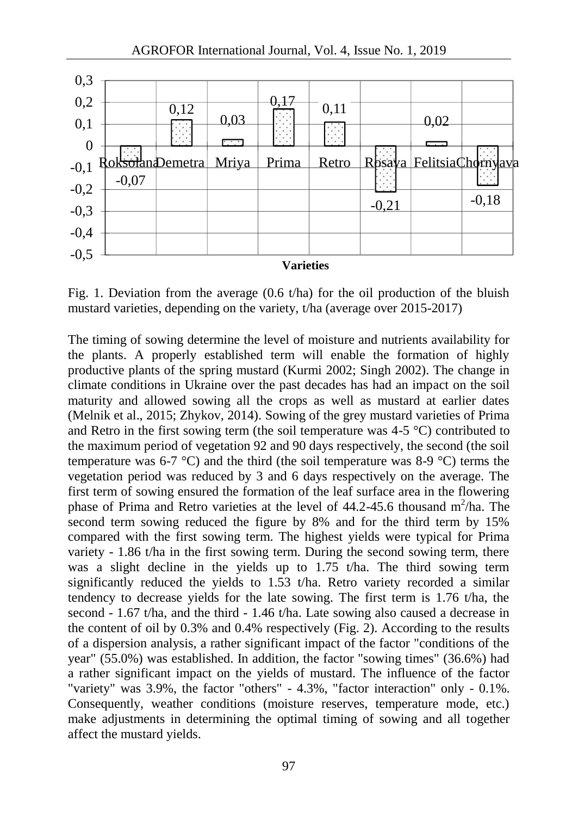

Fig. 1. Deviation from the average  $(0.6 \t{tha})$  for the oil production of the bluish mustard varieties, depending on the variety, t/ha (average over 2015-2017)

The timing of sowing determine the level of moisture and nutrients availability for the plants. A properly established term will enable the formation of highly productive plants of the spring mustard (Kurmi 2002; Singh 2002). The change in climate conditions in Ukraine over the past decades has had an impact on the soil maturity and allowed sowing all the crops as well as mustard at earlier dates (Melnik et al., 2015; Zhykov, 2014). Sowing of the grey mustard varieties of Prima and Retro in the first sowing term (the soil temperature was  $4-5$  °C) contributed to the maximum period of vegetation 92 and 90 days respectively, the second (the soil temperature was 6-7 °C) and the third (the soil temperature was 8-9 °C) terms the vegetation period was reduced by 3 and 6 days respectively on the average. The first term of sowing ensured the formation of the leaf surface area in the flowering phase of Prima and Retro varieties at the level of  $44.2$ -45.6 thousand m<sup>2</sup>/ha. The second term sowing reduced the figure by 8% and for the third term by 15% compared with the first sowing term. The highest yields were typical for Prima variety - 1.86 t/ha in the first sowing term. During the second sowing term, there was a slight decline in the yields up to 1.75 t/ha. The third sowing term significantly reduced the yields to 1.53 t/ha. Retro variety recorded a similar tendency to decrease yields for the late sowing. The first term is 1.76 t/ha, the second - 1.67 t/ha, and the third - 1.46 t/ha. Late sowing also caused a decrease in the content of oil by 0.3% and 0.4% respectively (Fig. 2). According to the results of a dispersion analysis, a rather significant impact of the factor "conditions of the year" (55.0%) was established. In addition, the factor "sowing times" (36.6%) had a rather significant impact on the yields of mustard. The influence of the factor "variety" was 3.9%, the factor "others" - 4.3%, "factor interaction" only - 0.1%. Consequently, weather conditions (moisture reserves, temperature mode, etc.) make adjustments in determining the optimal timing of sowing and all together affect the mustard yields.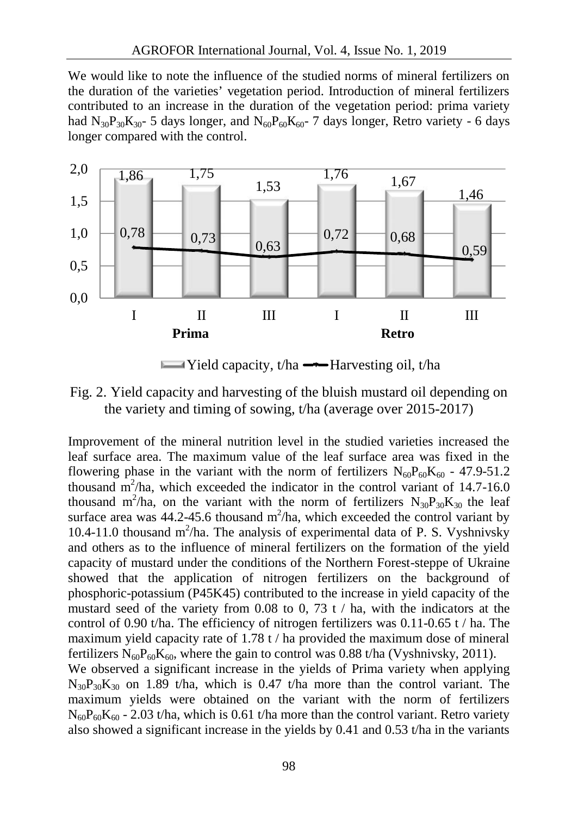We would like to note the influence of the studied norms of mineral fertilizers on the duration of the varieties' vegetation period. Introduction of mineral fertilizers contributed to an increase in the duration of the vegetation period: prima variety had N<sub>30 30</sub> 5 days longer, and N<sub>60 60</sub> 60<sup>-</sup> 7 days longer, Retro variety - 6 days longer compared with the control.



Fig. 2. Yield capacity and harvesting of the bluish mustard oil depending on the variety and timing of sowing, t/ha (average over 2015-2017)

Improvement of the mineral nutrition level in the studied varieties increased the leaf surface area. The maximum value of the leaf surface area was fixed in the flowering phase in the variant with the norm of fertilizers  $N_{60}P_{60}K_{60}$  - 47.9-51.2 thousand  $m^2/ha$ , which exceeded the indicator in the control variant of 14.7-16.0 thousand m<sup>2</sup>/ha, on the variant with the norm of fertilizers  $N_{30}P_{30}K_{30}$  the leaf surface area was  $44.2 - 45.6$  thousand m<sup>2</sup>/ha, which exceeded the control variant by 10.4-11.0 thousand  $m^2/ha$ . The analysis of experimental data of P. S. Vyshnivsky and others as to the influence of mineral fertilizers on the formation of the yield capacity of mustard under the conditions of the Northern Forest-steppe of Ukraine showed that the application of nitrogen fertilizers on the background of phosphoric-potassium (P45K45) contributed to the increase in yield capacity of the mustard seed of the variety from 0.08 to 0, 73 t / ha, with the indicators at the control of 0.90 t/ha. The efficiency of nitrogen fertilizers was  $0.11$ -0.65 t / ha. The maximum yield capacity rate of 1.78 t / ha provided the maximum dose of mineral fertilizers  $N_{60}P_{60}K_{60}$ , where the gain to control was 0.88 t/ha (Vyshnivsky, 2011). We observed a significant increase in the yields of Prima variety when applying  $N_{30}P_{30}K_{30}$  on 1.89 t/ha, which is 0.47 t/ha more than the control variant. The maximum yields were obtained on the variant with the norm of fertilizers  $N_{60}P_{60}K_{60}$  - 2.03 t/ha, which is 0.61 t/ha more than the control variant. Retro variety

also showed a significant increase in the yields by 0.41 and 0.53 t/ha in the variants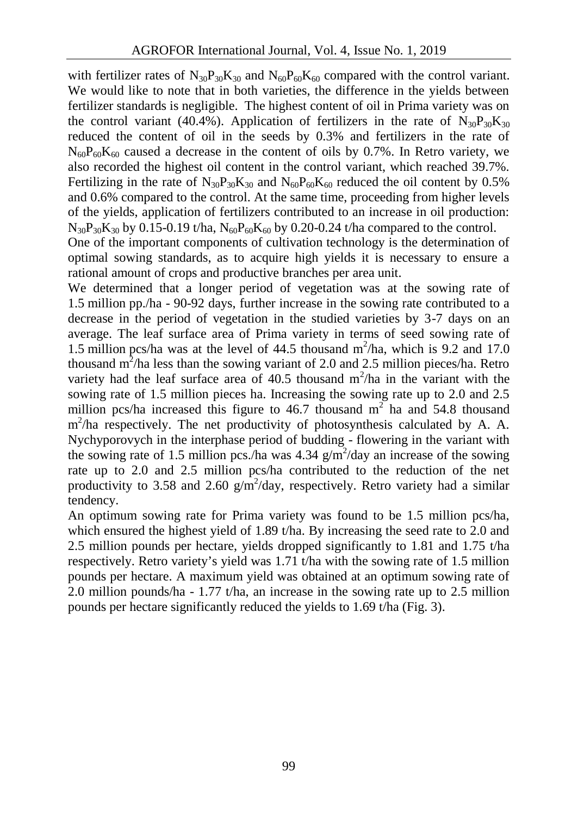with fertilizer rates of  $N_{30}P_{30}K_{30}$  and  $N_{60}P_{60}K_{60}$  compared with the control variant. We would like to note that in both varieties, the difference in the yields between fertilizer standards is negligible. The highest content of oil in Prima variety was on the control variant (40.4%). Application of fertilizers in the rate of  $N_{30}P_{30}K_{30}$ reduced the content of oil in the seeds by 0.3% and fertilizers in the rate of  $N_{60}P_{60}K_{60}$  caused a decrease in the content of oils by 0.7%. In Retro variety, we also recorded the highest oil content in the control variant, which reached 39.7%. Fertilizing in the rate of  $N_{30}P_{30}K_{30}$  and  $N_{60}P_{60}K_{60}$  reduced the oil content by 0.5% and 0.6% compared to the control. At the same time, proceeding from higher levels of the yields, application of fertilizers contributed to an increase in oil production:  $N_{30}P_{30}K_{30}$  by 0.15-0.19 t/ha,  $N_{60}P_{60}K_{60}$  by 0.20-0.24 t/ha compared to the control.

One of the important components of cultivation technology is the determination of optimal sowing standards, as to acquire high yields it is necessary to ensure a rational amount of crops and productive branches per area unit.

We determined that a longer period of vegetation was at the sowing rate of 1.5 million pp./ha - 90-92 days, further increase in the sowing rate contributed to a decrease in the period of vegetation in the studied varieties by 3-7 days on an average. The leaf surface area of Prima variety in terms of seed sowing rate of 1.5 million pcs/ha was at the level of  $44.5$  thousand m<sup>2</sup>/ha, which is 9.2 and 17.0 thousand  $m^2/h$ a less than the sowing variant of 2.0 and 2.5 million pieces/ha. Retro variety had the leaf surface area of 40.5 thousand  $m^2/ha$  in the variant with the sowing rate of 1.5 million pieces ha. Increasing the sowing rate up to 2.0 and 2.5 million pcs/ha increased this figure to 46.7 thousand  $m<sup>2</sup>$  ha and 54.8 thousand m<sup>2</sup>/ha respectively. The net productivity of photosynthesis calculated by A. A. Nychyporovych in the interphase period of budding - flowering in the variant with the sowing rate of 1.5 million pcs./ha was 4.34  $g/m^2$ /day an increase of the sowing rate up to 2.0 and 2.5 million pcs/ha contributed to the reduction of the net productivity to 3.58 and 2.60  $g/m^2$ /day, respectively. Retro variety had a similar tendency.

An optimum sowing rate for Prima variety was found to be 1.5 million pcs/ha, which ensured the highest yield of 1.89 t/ha. By increasing the seed rate to 2.0 and 2.5 million pounds per hectare, yields dropped significantly to 1.81 and 1.75 t/ha respectively. Retro variety's yield was 1.71 t/ha with the sowing rate of 1.5 million pounds per hectare. A maximum yield was obtained at an optimum sowing rate of 2.0 million pounds/ha - 1.77 t/ha, an increase in the sowing rate up to 2.5 million pounds per hectare significantly reduced the yields to 1.69 t/ha (Fig. 3).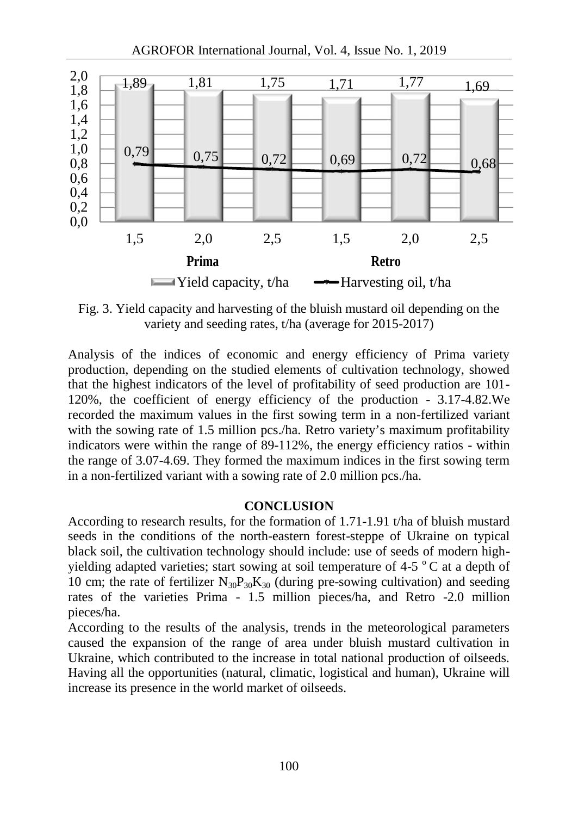

Fig. 3. Yield capacity and harvesting of the bluish mustard oil depending on the variety and seeding rates, t/ha (average for 2015-2017)

Analysis of the indices of economic and energy efficiency of Prima variety production, depending on the studied elements of cultivation technology, showed that the highest indicators of the level of profitability of seed production are 101- 120%, the coefficient of energy efficiency of the production - 3.17-4.82.We recorded the maximum values in the first sowing term in a non-fertilized variant with the sowing rate of 1.5 million pcs./ha. Retro variety's maximum profitability indicators were within the range of 89-112%, the energy efficiency ratios - within the range of 3.07-4.69. They formed the maximum indices in the first sowing term in a non-fertilized variant with a sowing rate of 2.0 million pcs./ha.

#### **CONCLUSION**

According to research results, for the formation of 1.71-1.91 t/ha of bluish mustard seeds in the conditions of the north-eastern forest-steppe of Ukraine on typical black soil, the cultivation technology should include: use of seeds of modern high yielding adapted varieties; start sowing at soil temperature of 4-5  $\degree$ C at a depth of 10 cm; the rate of fertilizer  $N_{30}P_{30}K_{30}$  (during pre-sowing cultivation) and seeding rates of the varieties Prima - 1.5 million pieces/ha, and Retro -2.0 million pieces/ha.

According to the results of the analysis, trends in the meteorological parameters caused the expansion of the range of area under bluish mustard cultivation in Ukraine, which contributed to the increase in total national production of oilseeds. Having all the opportunities (natural, climatic, logistical and human), Ukraine will increase its presence in the world market of oilseeds.